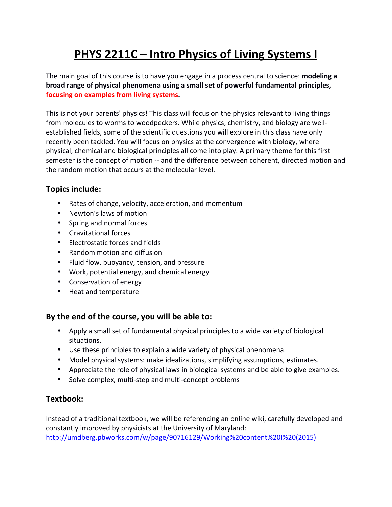# **PHYS 2211C – Intro Physics of Living Systems I**

The main goal of this course is to have you engage in a process central to science: **modeling a broad range of physical phenomena using a small set of powerful fundamental principles,** focusing on examples from living systems.

This is not your parents' physics! This class will focus on the physics relevant to living things from molecules to worms to woodpeckers. While physics, chemistry, and biology are wellestablished fields, some of the scientific questions you will explore in this class have only recently been tackled. You will focus on physics at the convergence with biology, where physical, chemical and biological principles all come into play. A primary theme for this first semester is the concept of motion -- and the difference between coherent, directed motion and the random motion that occurs at the molecular level.

# **Topics include:**

- Rates of change, velocity, acceleration, and momentum
- Newton's laws of motion
- Spring and normal forces
- Gravitational forces
- Electrostatic forces and fields
- Random motion and diffusion
- Fluid flow, buoyancy, tension, and pressure
- Work, potential energy, and chemical energy
- Conservation of energy
- Heat and temperature

### By the end of the course, you will be able to:

- Apply a small set of fundamental physical principles to a wide variety of biological situations.
- Use these principles to explain a wide variety of physical phenomena.
- Model physical systems: make idealizations, simplifying assumptions, estimates.
- Appreciate the role of physical laws in biological systems and be able to give examples.
- Solve complex, multi-step and multi-concept problems

### **Textbook:**

Instead of a traditional textbook, we will be referencing an online wiki, carefully developed and constantly improved by physicists at the University of Maryland: http://umdberg.pbworks.com/w/page/90716129/Working%20content%20I%20(2015)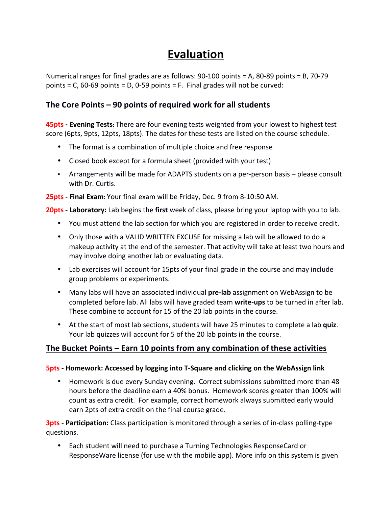# **Evaluation**

Numerical ranges for final grades are as follows:  $90-100$  points = A, 80-89 points = B, 70-79 points =  $C$ , 60-69 points =  $D$ , 0-59 points = F. Final grades will not be curved:

## **The Core Points – 90 points of required work for all students**

**45pts - Evening Tests:** There are four evening tests weighted from your lowest to highest test score (6pts, 9pts, 12pts, 18pts). The dates for these tests are listed on the course schedule.

- The format is a combination of multiple choice and free response
- Closed book except for a formula sheet (provided with your test)
- Arrangements will be made for ADAPTS students on a per-person basis please consult with Dr. Curtis.

**25pts -** Final Exam: Your final exam will be Friday, Dec. 9 from 8-10:50 AM.

**20pts - Laboratory:** Lab begins the first week of class, please bring your laptop with you to lab.

- You must attend the lab section for which you are registered in order to receive credit.
- Only those with a VALID WRITTEN EXCUSE for missing a lab will be allowed to do a makeup activity at the end of the semester. That activity will take at least two hours and may involve doing another lab or evaluating data.
- Lab exercises will account for 15pts of your final grade in the course and may include group problems or experiments.
- Many labs will have an associated individual **pre-lab** assignment on WebAssign to be completed before lab. All labs will have graded team write-ups to be turned in after lab. These combine to account for 15 of the 20 lab points in the course.
- At the start of most lab sections, students will have 25 minutes to complete a lab quiz. Your lab quizzes will account for 5 of the 20 lab points in the course.

### **The Bucket Points – Earn 10 points from any combination of these activities**

#### **5pts** - Homework: Accessed by logging into T-Square and clicking on the WebAssign link

• Homework is due every Sunday evening. Correct submissions submitted more than 48 hours before the deadline earn a 40% bonus. Homework scores greater than 100% will count as extra credit. For example, correct homework always submitted early would earn 2pts of extra credit on the final course grade.

**3pts - Participation:** Class participation is monitored through a series of in-class polling-type questions.

• Each student will need to purchase a Turning Technologies ResponseCard or ResponseWare license (for use with the mobile app). More info on this system is given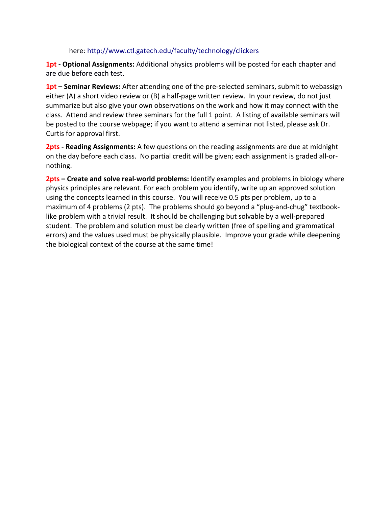#### here: http://www.ctl.gatech.edu/faculty/technology/clickers

**1pt** - Optional Assignments: Additional physics problems will be posted for each chapter and are due before each test.

**1pt** – **Seminar Reviews:** After attending one of the pre-selected seminars, submit to webassign either (A) a short video review or (B) a half-page written review. In your review, do not just summarize but also give your own observations on the work and how it may connect with the class. Attend and review three seminars for the full 1 point. A listing of available seminars will be posted to the course webpage; if you want to attend a seminar not listed, please ask Dr. Curtis for approval first.

**2pts - Reading Assignments:** A few questions on the reading assignments are due at midnight on the day before each class. No partial credit will be given; each assignment is graded all-ornothing. 

**2pts** – Create and solve real-world problems: Identify examples and problems in biology where physics principles are relevant. For each problem you identify, write up an approved solution using the concepts learned in this course. You will receive 0.5 pts per problem, up to a maximum of 4 problems (2 pts). The problems should go beyond a "plug-and-chug" textbooklike problem with a trivial result. It should be challenging but solvable by a well-prepared student. The problem and solution must be clearly written (free of spelling and grammatical errors) and the values used must be physically plausible. Improve your grade while deepening the biological context of the course at the same time!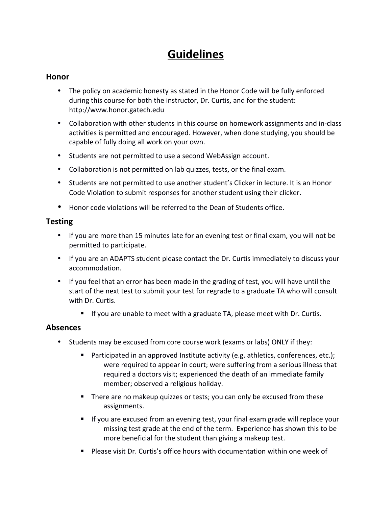# **Guidelines**

### **Honor**

- The policy on academic honesty as stated in the Honor Code will be fully enforced during this course for both the instructor, Dr. Curtis, and for the student: http://www.honor.gatech.edu
- Collaboration with other students in this course on homework assignments and in-class activities is permitted and encouraged. However, when done studying, you should be capable of fully doing all work on your own.
- Students are not permitted to use a second WebAssign account.
- Collaboration is not permitted on lab quizzes, tests, or the final exam.
- Students are not permitted to use another student's Clicker in lecture. It is an Honor Code Violation to submit responses for another student using their clicker.
- Honor code violations will be referred to the Dean of Students office.

### **Testing**

- If you are more than 15 minutes late for an evening test or final exam, you will not be permitted to participate.
- If you are an ADAPTS student please contact the Dr. Curtis immediately to discuss your accommodation.
- If you feel that an error has been made in the grading of test, you will have until the start of the next test to submit your test for regrade to a graduate TA who will consult with Dr. Curtis.
	- **If** you are unable to meet with a graduate TA, please meet with Dr. Curtis.

### **Absences**

- Students may be excused from core course work (exams or labs) ONLY if they:
	- " Participated in an approved Institute activity (e.g. athletics, conferences, etc.); were required to appear in court; were suffering from a serious illness that required a doctors visit; experienced the death of an immediate family member; observed a religious holiday.
	- There are no makeup quizzes or tests; you can only be excused from these assignments.
	- **If** you are excused from an evening test, your final exam grade will replace your missing test grade at the end of the term. Experience has shown this to be more beneficial for the student than giving a makeup test.
	- " Please visit Dr. Curtis's office hours with documentation within one week of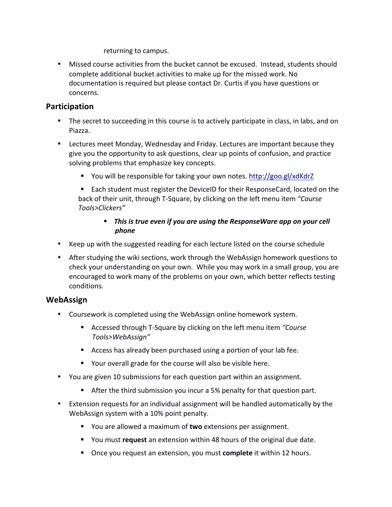returning to campus.

• Missed course activities from the bucket cannot be excused. Instead, students should complete additional bucket activities to make up for the missed work. No documentation is required but please contact Dr. Curtis if you have questions or concerns.

### **Participation**

- The secret to succeeding in this course is to actively participate in class, in labs, and on Piazza.
- Lectures meet Monday, Wednesday and Friday. Lectures are important because they give you the opportunity to ask questions, clear up points of confusion, and practice solving problems that emphasize key concepts.
	- You will be responsible for taking your own notes. http://goo.gl/xdKdrZ

■ Each student must register the DeviceID for their ResponseCard, located on the back of their unit, through T-Square, by clicking on the left menu item *"Course Tools>Clickers"*

### **.** This is true even if you are using the ResponseWare app on your cell *phone*

- Keep up with the suggested reading for each lecture listed on the course schedule
- After studying the wiki sections, work through the WebAssign homework questions to check your understanding on your own. While you may work in a small group, you are encouraged to work many of the problems on your own, which better reflects testing conditions.

### **WebAssign**

- Coursework is completed using the WebAssign online homework system.
	- Accessed through T-Square by clicking on the left menu item "Course *Tools>WebAssign"*
	- $\blacksquare$  Access has already been purchased using a portion of your lab fee.
	- Your overall grade for the course will also be visible here.
- You are given 10 submissions for each question part within an assignment.
	- **EXEL After the third submission you incur a 5% penalty for that question part.**
- Extension requests for an individual assignment will be handled automatically by the WebAssign system with a 10% point penalty.
	- **Table 1** You are allowed a maximum of two extensions per assignment.
	- **E** You must **request** an extension within 48 hours of the original due date.
	- **.** Once you request an extension, you must **complete** it within 12 hours.